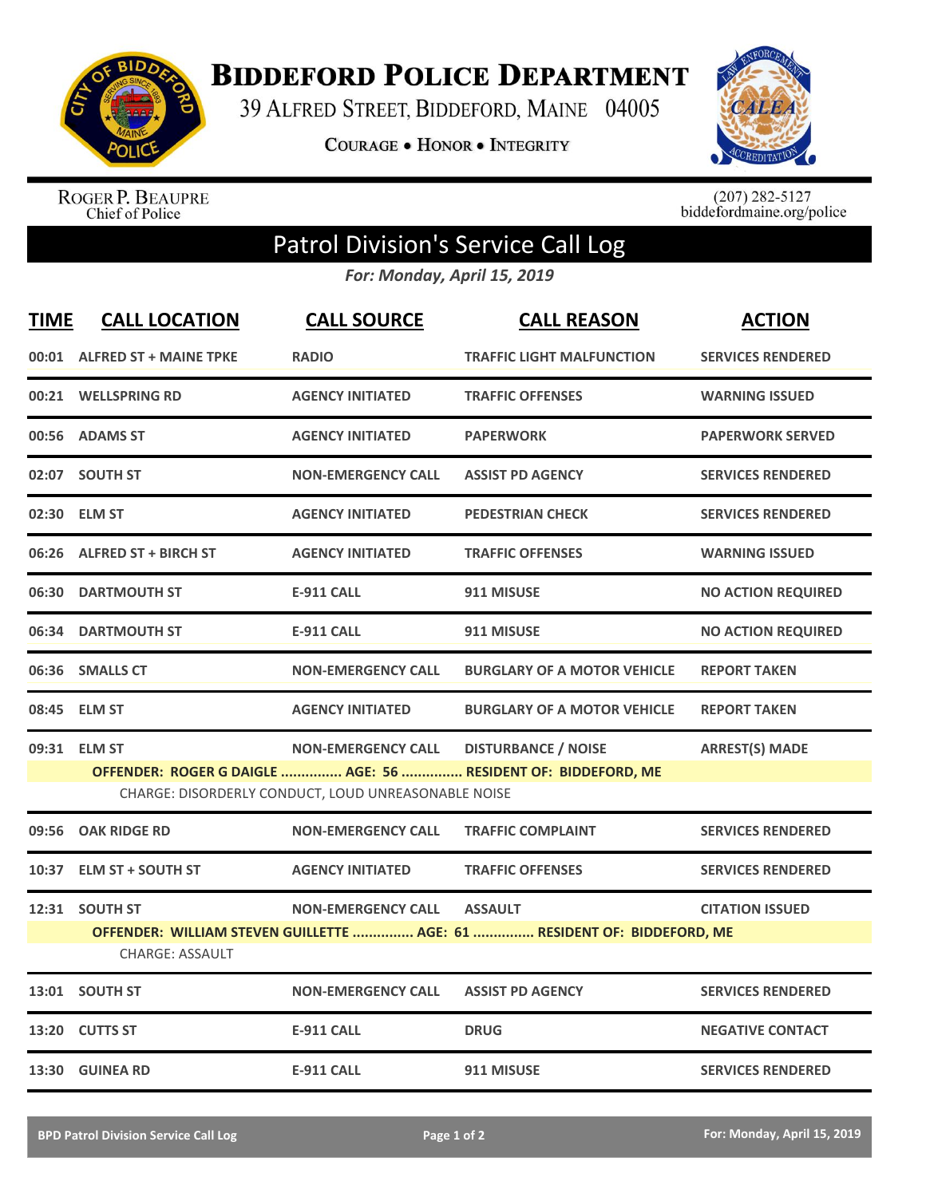

**BIDDEFORD POLICE DEPARTMENT** 

39 ALFRED STREET, BIDDEFORD, MAINE 04005

**COURAGE . HONOR . INTEGRITY** 



ROGER P. BEAUPRE<br>Chief of Police

 $(207)$  282-5127<br>biddefordmaine.org/police

## Patrol Division's Service Call Log

*For: Monday, April 15, 2019*

| <b>TIME</b> | <b>CALL LOCATION</b>                                                                                                                                                                                                     | <b>CALL SOURCE</b>        | <b>CALL REASON</b>                 | <b>ACTION</b>             |  |  |
|-------------|--------------------------------------------------------------------------------------------------------------------------------------------------------------------------------------------------------------------------|---------------------------|------------------------------------|---------------------------|--|--|
|             | 00:01 ALFRED ST + MAINE TPKE                                                                                                                                                                                             | <b>RADIO</b>              | <b>TRAFFIC LIGHT MALFUNCTION</b>   | <b>SERVICES RENDERED</b>  |  |  |
|             | 00:21 WELLSPRING RD                                                                                                                                                                                                      | <b>AGENCY INITIATED</b>   | <b>TRAFFIC OFFENSES</b>            | <b>WARNING ISSUED</b>     |  |  |
|             | 00:56 ADAMS ST                                                                                                                                                                                                           | <b>AGENCY INITIATED</b>   | <b>PAPERWORK</b>                   | <b>PAPERWORK SERVED</b>   |  |  |
|             | 02:07 SOUTH ST                                                                                                                                                                                                           | <b>NON-EMERGENCY CALL</b> | <b>ASSIST PD AGENCY</b>            | <b>SERVICES RENDERED</b>  |  |  |
|             | 02:30 ELM ST                                                                                                                                                                                                             | <b>AGENCY INITIATED</b>   | <b>PEDESTRIAN CHECK</b>            | <b>SERVICES RENDERED</b>  |  |  |
| 06:26       | <b>ALFRED ST + BIRCH ST</b>                                                                                                                                                                                              | <b>AGENCY INITIATED</b>   | <b>TRAFFIC OFFENSES</b>            | <b>WARNING ISSUED</b>     |  |  |
| 06:30       | <b>DARTMOUTH ST</b>                                                                                                                                                                                                      | <b>E-911 CALL</b>         | 911 MISUSE                         | <b>NO ACTION REQUIRED</b> |  |  |
|             | 06:34 DARTMOUTH ST                                                                                                                                                                                                       | <b>E-911 CALL</b>         | 911 MISUSE                         | <b>NO ACTION REQUIRED</b> |  |  |
|             | 06:36 SMALLS CT                                                                                                                                                                                                          | <b>NON-EMERGENCY CALL</b> | <b>BURGLARY OF A MOTOR VEHICLE</b> | <b>REPORT TAKEN</b>       |  |  |
|             | 08:45 ELM ST                                                                                                                                                                                                             | <b>AGENCY INITIATED</b>   | <b>BURGLARY OF A MOTOR VEHICLE</b> | <b>REPORT TAKEN</b>       |  |  |
|             | 09:31 ELM ST<br><b>DISTURBANCE / NOISE</b><br><b>ARREST(S) MADE</b><br><b>NON-EMERGENCY CALL</b><br>OFFENDER: ROGER G DAIGLE  AGE: 56  RESIDENT OF: BIDDEFORD, ME<br>CHARGE: DISORDERLY CONDUCT, LOUD UNREASONABLE NOISE |                           |                                    |                           |  |  |
| 09:56       | <b>OAK RIDGE RD</b>                                                                                                                                                                                                      | <b>NON-EMERGENCY CALL</b> | <b>TRAFFIC COMPLAINT</b>           | <b>SERVICES RENDERED</b>  |  |  |
| 10:37       | <b>ELM ST + SOUTH ST</b>                                                                                                                                                                                                 | <b>AGENCY INITIATED</b>   | <b>TRAFFIC OFFENSES</b>            | <b>SERVICES RENDERED</b>  |  |  |
|             | 12:31 SOUTH ST<br><b>NON-EMERGENCY CALL</b><br><b>ASSAULT</b><br><b>CITATION ISSUED</b><br>OFFENDER: WILLIAM STEVEN GUILLETTE  AGE: 61  RESIDENT OF: BIDDEFORD, ME<br><b>CHARGE: ASSAULT</b>                             |                           |                                    |                           |  |  |
|             | 13:01 SOUTH ST                                                                                                                                                                                                           | <b>NON-EMERGENCY CALL</b> | <b>ASSIST PD AGENCY</b>            | <b>SERVICES RENDERED</b>  |  |  |
| 13:20       | <b>CUTTS ST</b>                                                                                                                                                                                                          | <b>E-911 CALL</b>         | <b>DRUG</b>                        | <b>NEGATIVE CONTACT</b>   |  |  |
|             | 13:30 GUINEA RD                                                                                                                                                                                                          | <b>E-911 CALL</b>         | 911 MISUSE                         | <b>SERVICES RENDERED</b>  |  |  |